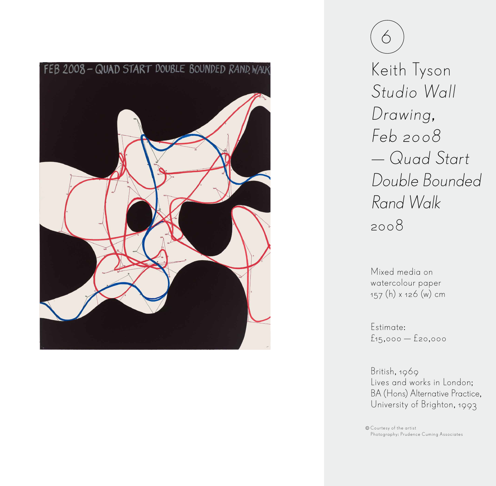

6 Keith Tyson Studio Wall Drawing, Feb 2008 — Quad Start Double Bounded Rand Walk 2008

Mixed media on watercolour paper 157 (h) x 126 (w) cm

Estimate: £15,000 — £20,000

British, 1969 Lives and works in London; BA (Hons) Alternative Practice, University of Brighton, 1993

Courtesy of the artist Photography: Prudence Cuming Associates